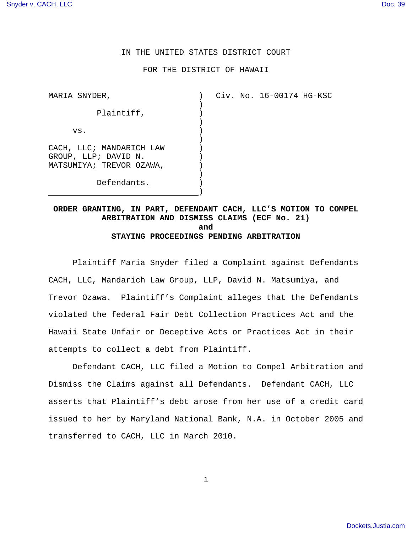## IN THE UNITED STATES DISTRICT COURT

### FOR THE DISTRICT OF HAWAII

 $\left( \right)$  $\lambda$  $\left( \right)$ ) ) ) ) )  $\lambda$ )  $\left( \right)$ )

MARIA SNYDER,

Civ. No. 16-00174 HG-KSC

Plaintiff, vs. CACH, LLC; MANDARICH LAW GROUP, LLP; DAVID N. MATSUMIYA; TREVOR OZAWA, Defendants.

**ORDER GRANTING, IN PART, DEFENDANT CACH, LLC'S MOTION TO COMPEL ARBITRATION AND DISMISS CLAIMS (ECF No. 21) and STAYING PROCEEDINGS PENDING ARBITRATION**

Plaintiff Maria Snyder filed a Complaint against Defendants CACH, LLC, Mandarich Law Group, LLP, David N. Matsumiya, and Trevor Ozawa. Plaintiff's Complaint alleges that the Defendants violated the federal Fair Debt Collection Practices Act and the Hawaii State Unfair or Deceptive Acts or Practices Act in their attempts to collect a debt from Plaintiff.

Defendant CACH, LLC filed a Motion to Compel Arbitration and Dismiss the Claims against all Defendants. Defendant CACH, LLC asserts that Plaintiff's debt arose from her use of a credit card issued to her by Maryland National Bank, N.A. in October 2005 and transferred to CACH, LLC in March 2010.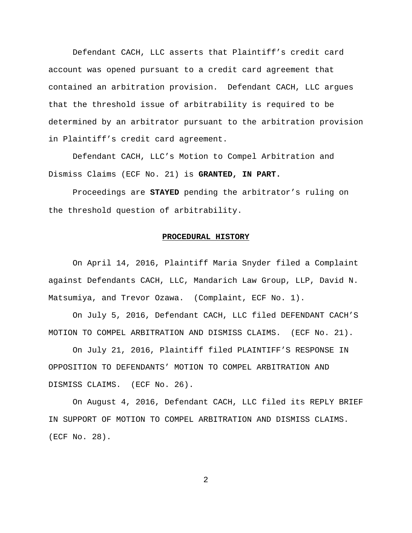Defendant CACH, LLC asserts that Plaintiff's credit card account was opened pursuant to a credit card agreement that contained an arbitration provision. Defendant CACH, LLC argues that the threshold issue of arbitrability is required to be determined by an arbitrator pursuant to the arbitration provision in Plaintiff's credit card agreement.

Defendant CACH, LLC's Motion to Compel Arbitration and Dismiss Claims (ECF No. 21) is **GRANTED, IN PART.**

Proceedings are **STAYED** pending the arbitrator's ruling on the threshold question of arbitrability.

## **PROCEDURAL HISTORY**

On April 14, 2016, Plaintiff Maria Snyder filed a Complaint against Defendants CACH, LLC, Mandarich Law Group, LLP, David N. Matsumiya, and Trevor Ozawa. (Complaint, ECF No. 1).

On July 5, 2016, Defendant CACH, LLC filed DEFENDANT CACH'S MOTION TO COMPEL ARBITRATION AND DISMISS CLAIMS. (ECF No. 21).

On July 21, 2016, Plaintiff filed PLAINTIFF'S RESPONSE IN OPPOSITION TO DEFENDANTS' MOTION TO COMPEL ARBITRATION AND DISMISS CLAIMS. (ECF No. 26).

On August 4, 2016, Defendant CACH, LLC filed its REPLY BRIEF IN SUPPORT OF MOTION TO COMPEL ARBITRATION AND DISMISS CLAIMS. (ECF No. 28).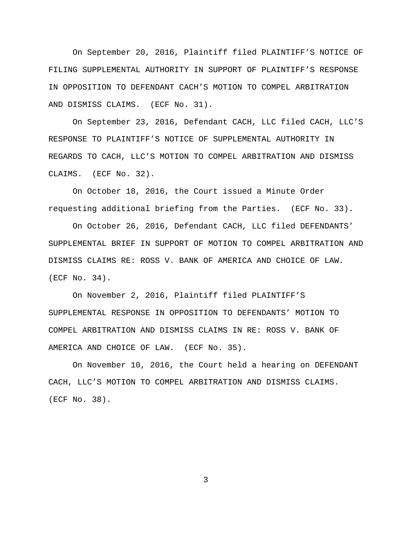On September 20, 2016, Plaintiff filed PLAINTIFF'S NOTICE OF FILING SUPPLEMENTAL AUTHORITY IN SUPPORT OF PLAINTIFF'S RESPONSE IN OPPOSITION TO DEFENDANT CACH'S MOTION TO COMPEL ARBITRATION AND DISMISS CLAIMS. (ECF No. 31).

On September 23, 2016, Defendant CACH, LLC filed CACH, LLC'S RESPONSE TO PLAINTIFF'S NOTICE OF SUPPLEMENTAL AUTHORITY IN REGARDS TO CACH, LLC'S MOTION TO COMPEL ARBITRATION AND DISMISS CLAIMS. (ECF No. 32).

On October 18, 2016, the Court issued a Minute Order requesting additional briefing from the Parties. (ECF No. 33).

On October 26, 2016, Defendant CACH, LLC filed DEFENDANTS' SUPPLEMENTAL BRIEF IN SUPPORT OF MOTION TO COMPEL ARBITRATION AND DISMISS CLAIMS RE: ROSS V. BANK OF AMERICA AND CHOICE OF LAW. (ECF No. 34).

On November 2, 2016, Plaintiff filed PLAINTIFF'S SUPPLEMENTAL RESPONSE IN OPPOSITION TO DEFENDANTS' MOTION TO COMPEL ARBITRATION AND DISMISS CLAIMS IN RE: ROSS V. BANK OF AMERICA AND CHOICE OF LAW. (ECF No. 35).

On November 10, 2016, the Court held a hearing on DEFENDANT CACH, LLC'S MOTION TO COMPEL ARBITRATION AND DISMISS CLAIMS. (ECF No. 38).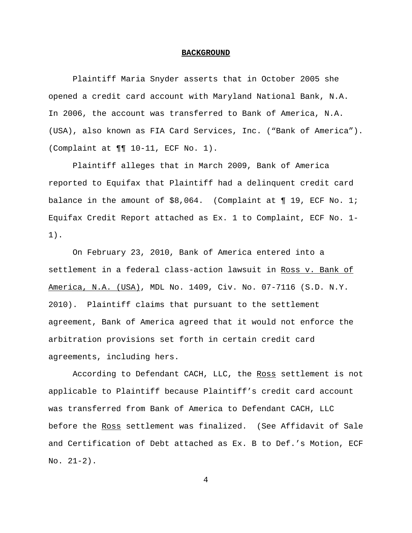#### **BACKGROUND**

Plaintiff Maria Snyder asserts that in October 2005 she opened a credit card account with Maryland National Bank, N.A. In 2006, the account was transferred to Bank of America, N.A. (USA), also known as FIA Card Services, Inc. ("Bank of America"). (Complaint at ¶¶ 10-11, ECF No. 1).

Plaintiff alleges that in March 2009, Bank of America reported to Equifax that Plaintiff had a delinquent credit card balance in the amount of  $$8,064.$  (Complaint at  $\P$  19, ECF No. 1; Equifax Credit Report attached as Ex. 1 to Complaint, ECF No. 1- 1).

On February 23, 2010, Bank of America entered into a settlement in a federal class-action lawsuit in Ross v. Bank of America, N.A. (USA), MDL No. 1409, Civ. No. 07-7116 (S.D. N.Y. 2010). Plaintiff claims that pursuant to the settlement agreement, Bank of America agreed that it would not enforce the arbitration provisions set forth in certain credit card agreements, including hers.

According to Defendant CACH, LLC, the Ross settlement is not applicable to Plaintiff because Plaintiff's credit card account was transferred from Bank of America to Defendant CACH, LLC before the Ross settlement was finalized. (See Affidavit of Sale and Certification of Debt attached as Ex. B to Def.'s Motion, ECF  $No. 21-2).$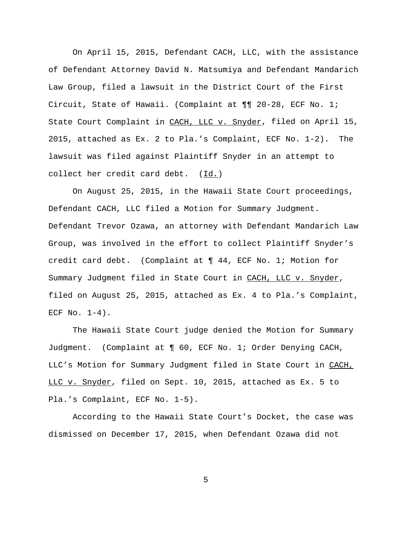On April 15, 2015, Defendant CACH, LLC, with the assistance of Defendant Attorney David N. Matsumiya and Defendant Mandarich Law Group, filed a lawsuit in the District Court of the First Circuit, State of Hawaii. (Complaint at ¶¶ 20-28, ECF No. 1; State Court Complaint in CACH, LLC v. Snyder, filed on April 15, 2015, attached as Ex. 2 to Pla.'s Complaint, ECF No. 1-2). The lawsuit was filed against Plaintiff Snyder in an attempt to collect her credit card debt. (Id.)

On August 25, 2015, in the Hawaii State Court proceedings, Defendant CACH, LLC filed a Motion for Summary Judgment. Defendant Trevor Ozawa, an attorney with Defendant Mandarich Law Group, was involved in the effort to collect Plaintiff Snyder's credit card debt. (Complaint at ¶ 44, ECF No. 1; Motion for Summary Judgment filed in State Court in CACH, LLC v. Snyder, filed on August 25, 2015, attached as Ex. 4 to Pla.'s Complaint, ECF No.  $1-4$ ).

The Hawaii State Court judge denied the Motion for Summary Judgment. (Complaint at ¶ 60, ECF No. 1; Order Denying CACH, LLC's Motion for Summary Judgment filed in State Court in CACH, LLC v. Snyder, filed on Sept. 10, 2015, attached as Ex. 5 to Pla.'s Complaint, ECF No. 1-5).

According to the Hawaii State Court's Docket, the case was dismissed on December 17, 2015, when Defendant Ozawa did not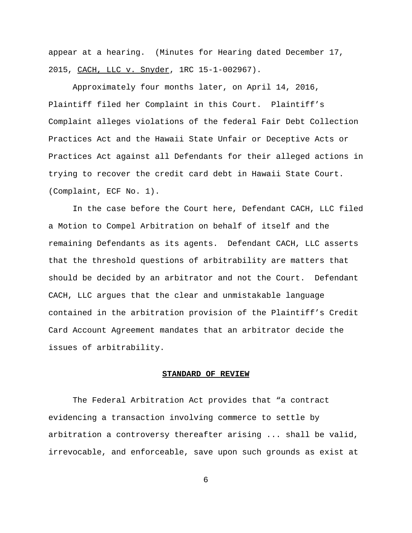appear at a hearing. (Minutes for Hearing dated December 17, 2015, CACH, LLC v. Snyder, 1RC 15-1-002967).

Approximately four months later, on April 14, 2016, Plaintiff filed her Complaint in this Court. Plaintiff's Complaint alleges violations of the federal Fair Debt Collection Practices Act and the Hawaii State Unfair or Deceptive Acts or Practices Act against all Defendants for their alleged actions in trying to recover the credit card debt in Hawaii State Court. (Complaint, ECF No. 1).

In the case before the Court here, Defendant CACH, LLC filed a Motion to Compel Arbitration on behalf of itself and the remaining Defendants as its agents. Defendant CACH, LLC asserts that the threshold questions of arbitrability are matters that should be decided by an arbitrator and not the Court. Defendant CACH, LLC argues that the clear and unmistakable language contained in the arbitration provision of the Plaintiff's Credit Card Account Agreement mandates that an arbitrator decide the issues of arbitrability.

## **STANDARD OF REVIEW**

The Federal Arbitration Act provides that "a contract evidencing a transaction involving commerce to settle by arbitration a controversy thereafter arising ... shall be valid, irrevocable, and enforceable, save upon such grounds as exist at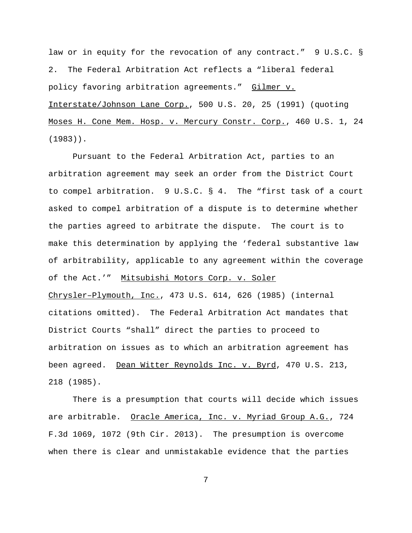law or in equity for the revocation of any contract." 9 U.S.C. § 2. The Federal Arbitration Act reflects a "liberal federal policy favoring arbitration agreements." Gilmer v. Interstate/Johnson Lane Corp., 500 U.S. 20, 25 (1991) (quoting Moses H. Cone Mem. Hosp. v. Mercury Constr. Corp., 460 U.S. 1, 24 (1983)).

Pursuant to the Federal Arbitration Act, parties to an arbitration agreement may seek an order from the District Court to compel arbitration. 9 U.S.C. § 4. The "first task of a court asked to compel arbitration of a dispute is to determine whether the parties agreed to arbitrate the dispute. The court is to make this determination by applying the 'federal substantive law of arbitrability, applicable to any agreement within the coverage of the Act.'" Mitsubishi Motors Corp. v. Soler Chrysler–Plymouth, Inc., 473 U.S. 614, 626 (1985) (internal citations omitted). The Federal Arbitration Act mandates that District Courts "shall" direct the parties to proceed to arbitration on issues as to which an arbitration agreement has been agreed. Dean Witter Reynolds Inc. v. Byrd, 470 U.S. 213, 218 (1985).

There is a presumption that courts will decide which issues are arbitrable. Oracle America, Inc. v. Myriad Group A.G., 724 F.3d 1069, 1072 (9th Cir. 2013). The presumption is overcome when there is clear and unmistakable evidence that the parties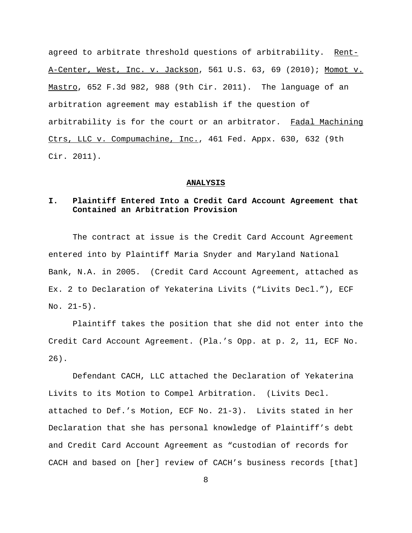agreed to arbitrate threshold questions of arbitrability. Rent-A-Center, West, Inc. v. Jackson, 561 U.S. 63, 69 (2010); Momot v. Mastro, 652 F.3d 982, 988 (9th Cir. 2011). The language of an arbitration agreement may establish if the question of arbitrability is for the court or an arbitrator. Fadal Machining Ctrs, LLC v. Compumachine, Inc., 461 Fed. Appx. 630, 632 (9th Cir. 2011).

#### **ANALYSIS**

## **I. Plaintiff Entered Into a Credit Card Account Agreement that Contained an Arbitration Provision**

The contract at issue is the Credit Card Account Agreement entered into by Plaintiff Maria Snyder and Maryland National Bank, N.A. in 2005. (Credit Card Account Agreement, attached as Ex. 2 to Declaration of Yekaterina Livits ("Livits Decl."), ECF No. 21-5).

Plaintiff takes the position that she did not enter into the Credit Card Account Agreement. (Pla.'s Opp. at p. 2, 11, ECF No. 26).

Defendant CACH, LLC attached the Declaration of Yekaterina Livits to its Motion to Compel Arbitration. (Livits Decl. attached to Def.'s Motion, ECF No. 21-3). Livits stated in her Declaration that she has personal knowledge of Plaintiff's debt and Credit Card Account Agreement as "custodian of records for CACH and based on [her] review of CACH's business records [that]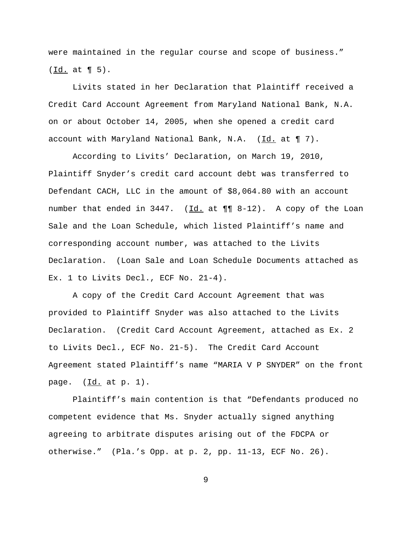were maintained in the regular course and scope of business."  $(\underline{Id.}$  at  $\P 5)$ .

Livits stated in her Declaration that Plaintiff received a Credit Card Account Agreement from Maryland National Bank, N.A. on or about October 14, 2005, when she opened a credit card account with Maryland National Bank, N.A.  $(\underline{Id.}$  at  $\P 7)$ .

According to Livits' Declaration, on March 19, 2010, Plaintiff Snyder's credit card account debt was transferred to Defendant CACH, LLC in the amount of \$8,064.80 with an account number that ended in 3447. (Id. at  $\P\P$  8-12). A copy of the Loan Sale and the Loan Schedule, which listed Plaintiff's name and corresponding account number, was attached to the Livits Declaration. (Loan Sale and Loan Schedule Documents attached as Ex. 1 to Livits Decl., ECF No. 21-4).

A copy of the Credit Card Account Agreement that was provided to Plaintiff Snyder was also attached to the Livits Declaration. (Credit Card Account Agreement, attached as Ex. 2 to Livits Decl., ECF No. 21-5). The Credit Card Account Agreement stated Plaintiff's name "MARIA V P SNYDER" on the front page. (Id. at p. 1).

Plaintiff's main contention is that "Defendants produced no competent evidence that Ms. Snyder actually signed anything agreeing to arbitrate disputes arising out of the FDCPA or otherwise." (Pla.'s Opp. at p. 2, pp. 11-13, ECF No. 26).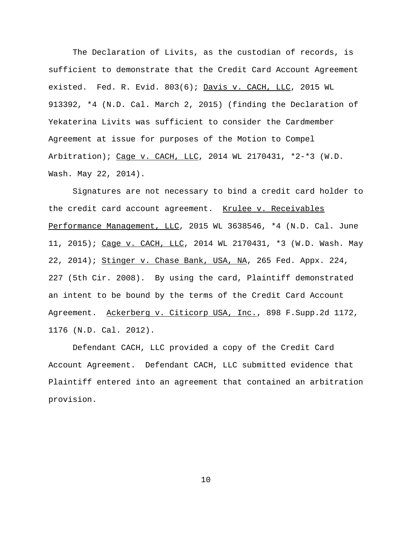The Declaration of Livits, as the custodian of records, is sufficient to demonstrate that the Credit Card Account Agreement existed. Fed. R. Evid. 803(6); Davis v. CACH, LLC, 2015 WL 913392, \*4 (N.D. Cal. March 2, 2015) (finding the Declaration of Yekaterina Livits was sufficient to consider the Cardmember Agreement at issue for purposes of the Motion to Compel Arbitration); Cage v. CACH, LLC, 2014 WL 2170431, \*2-\*3 (W.D. Wash. May 22, 2014).

Signatures are not necessary to bind a credit card holder to the credit card account agreement. Krulee v. Receivables Performance Management, LLC, 2015 WL 3638546, \*4 (N.D. Cal. June 11, 2015); Cage v. CACH, LLC, 2014 WL 2170431, \*3 (W.D. Wash. May 22, 2014); Stinger v. Chase Bank, USA, NA, 265 Fed. Appx. 224, 227 (5th Cir. 2008). By using the card, Plaintiff demonstrated an intent to be bound by the terms of the Credit Card Account Agreement. Ackerberg v. Citicorp USA, Inc., 898 F. Supp.2d 1172, 1176 (N.D. Cal. 2012).

Defendant CACH, LLC provided a copy of the Credit Card Account Agreement. Defendant CACH, LLC submitted evidence that Plaintiff entered into an agreement that contained an arbitration provision.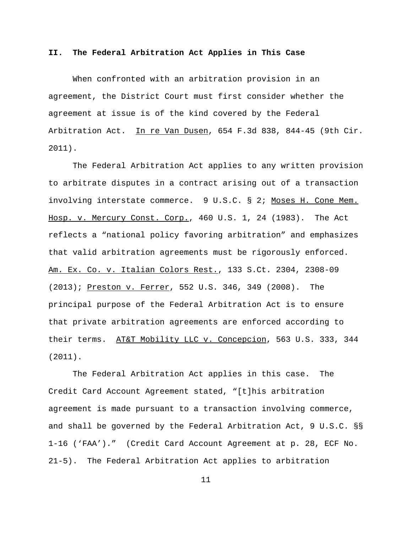## **II. The Federal Arbitration Act Applies in This Case**

When confronted with an arbitration provision in an agreement, the District Court must first consider whether the agreement at issue is of the kind covered by the Federal Arbitration Act. In re Van Dusen, 654 F.3d 838, 844-45 (9th Cir. 2011).

The Federal Arbitration Act applies to any written provision to arbitrate disputes in a contract arising out of a transaction involving interstate commerce. 9 U.S.C. § 2; Moses H. Cone Mem. Hosp. v. Mercury Const. Corp., 460 U.S. 1, 24 (1983). The Act reflects a "national policy favoring arbitration" and emphasizes that valid arbitration agreements must be rigorously enforced. Am. Ex. Co. v. Italian Colors Rest., 133 S.Ct. 2304, 2308-09 (2013); Preston v. Ferrer, 552 U.S. 346, 349 (2008). The principal purpose of the Federal Arbitration Act is to ensure that private arbitration agreements are enforced according to their terms. AT&T Mobility LLC v. Concepcion, 563 U.S. 333, 344 (2011).

The Federal Arbitration Act applies in this case. The Credit Card Account Agreement stated, "[t]his arbitration agreement is made pursuant to a transaction involving commerce, and shall be governed by the Federal Arbitration Act, 9 U.S.C. §§ 1-16 ('FAA')." (Credit Card Account Agreement at p. 28, ECF No. 21-5). The Federal Arbitration Act applies to arbitration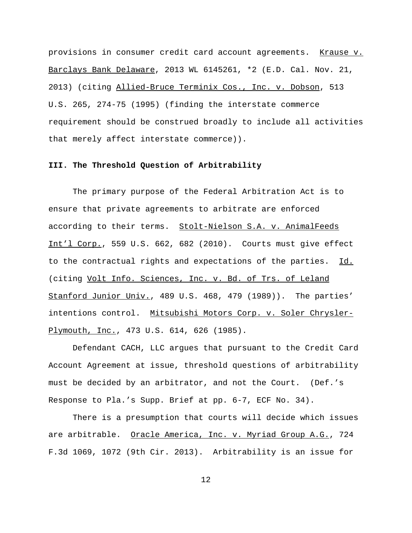provisions in consumer credit card account agreements. Krause v. Barclays Bank Delaware, 2013 WL 6145261, \*2 (E.D. Cal. Nov. 21, 2013) (citing Allied-Bruce Terminix Cos., Inc. v. Dobson, 513 U.S. 265, 274-75 (1995) (finding the interstate commerce requirement should be construed broadly to include all activities that merely affect interstate commerce)).

## **III. The Threshold Question of Arbitrability**

The primary purpose of the Federal Arbitration Act is to ensure that private agreements to arbitrate are enforced according to their terms. Stolt-Nielson S.A. v. AnimalFeeds Int'l Corp., 559 U.S. 662, 682 (2010). Courts must give effect to the contractual rights and expectations of the parties. Id. (citing Volt Info. Sciences, Inc. v. Bd. of Trs. of Leland Stanford Junior Univ., 489 U.S. 468, 479 (1989)). The parties' intentions control. Mitsubishi Motors Corp. v. Soler Chrysler-Plymouth, Inc., 473 U.S. 614, 626 (1985).

Defendant CACH, LLC argues that pursuant to the Credit Card Account Agreement at issue, threshold questions of arbitrability must be decided by an arbitrator, and not the Court. (Def.'s Response to Pla.'s Supp. Brief at pp. 6-7, ECF No. 34).

There is a presumption that courts will decide which issues are arbitrable. Oracle America, Inc. v. Myriad Group A.G., 724 F.3d 1069, 1072 (9th Cir. 2013). Arbitrability is an issue for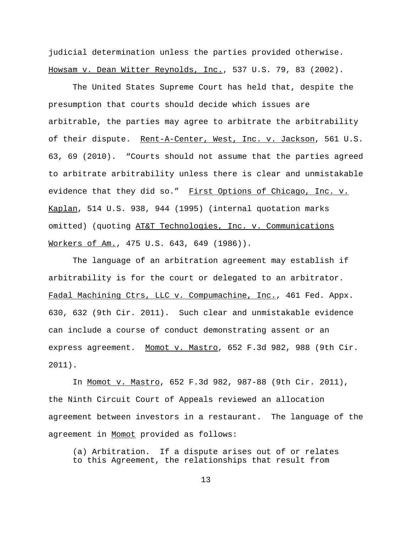judicial determination unless the parties provided otherwise. Howsam v. Dean Witter Reynolds, Inc., 537 U.S. 79, 83 (2002).

The United States Supreme Court has held that, despite the presumption that courts should decide which issues are arbitrable, the parties may agree to arbitrate the arbitrability of their dispute. Rent-A-Center, West, Inc. v. Jackson, 561 U.S. 63, 69 (2010). "Courts should not assume that the parties agreed to arbitrate arbitrability unless there is clear and unmistakable evidence that they did so." First Options of Chicago, Inc. v. Kaplan, 514 U.S. 938, 944 (1995) (internal quotation marks omitted) (quoting AT&T Technologies, Inc. v. Communications Workers of Am., 475 U.S. 643, 649 (1986)).

The language of an arbitration agreement may establish if arbitrability is for the court or delegated to an arbitrator. Fadal Machining Ctrs, LLC v. Compumachine, Inc., 461 Fed. Appx. 630, 632 (9th Cir. 2011). Such clear and unmistakable evidence can include a course of conduct demonstrating assent or an express agreement. Momot v. Mastro, 652 F.3d 982, 988 (9th Cir. 2011).

In Momot v. Mastro, 652 F.3d 982, 987-88 (9th Cir. 2011), the Ninth Circuit Court of Appeals reviewed an allocation agreement between investors in a restaurant. The language of the agreement in Momot provided as follows:

(a) Arbitration. If a dispute arises out of or relates to this Agreement, the relationships that result from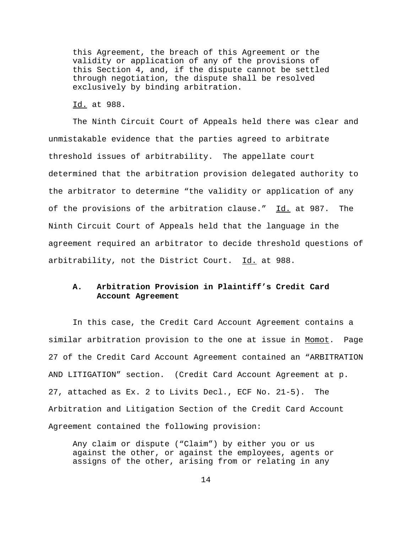this Agreement, the breach of this Agreement or the validity or application of any of the provisions of this Section 4, and, if the dispute cannot be settled through negotiation, the dispute shall be resolved exclusively by binding arbitration.

Id. at 988.

The Ninth Circuit Court of Appeals held there was clear and unmistakable evidence that the parties agreed to arbitrate threshold issues of arbitrability. The appellate court determined that the arbitration provision delegated authority to the arbitrator to determine "the validity or application of any of the provisions of the arbitration clause." Id. at 987. The Ninth Circuit Court of Appeals held that the language in the agreement required an arbitrator to decide threshold questions of arbitrability, not the District Court. Id. at 988.

# **A. Arbitration Provision in Plaintiff's Credit Card Account Agreement**

In this case, the Credit Card Account Agreement contains a similar arbitration provision to the one at issue in Momot. Page 27 of the Credit Card Account Agreement contained an "ARBITRATION AND LITIGATION" section. (Credit Card Account Agreement at p. 27, attached as Ex. 2 to Livits Decl., ECF No. 21-5). The Arbitration and Litigation Section of the Credit Card Account Agreement contained the following provision:

Any claim or dispute ("Claim") by either you or us against the other, or against the employees, agents or assigns of the other, arising from or relating in any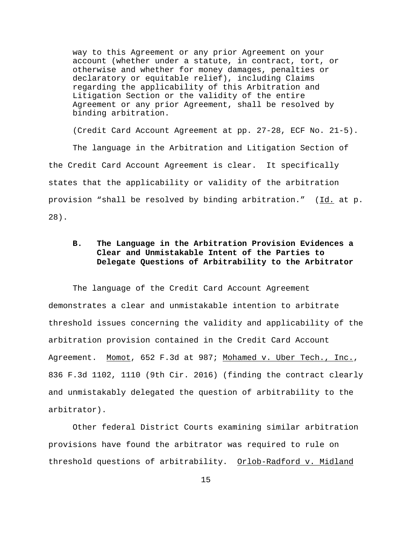way to this Agreement or any prior Agreement on your account (whether under a statute, in contract, tort, or otherwise and whether for money damages, penalties or declaratory or equitable relief), including Claims regarding the applicability of this Arbitration and Litigation Section or the validity of the entire Agreement or any prior Agreement, shall be resolved by binding arbitration.

(Credit Card Account Agreement at pp. 27-28, ECF No. 21-5). The language in the Arbitration and Litigation Section of the Credit Card Account Agreement is clear. It specifically states that the applicability or validity of the arbitration provision "shall be resolved by binding arbitration." (Id. at p. 28).

# **B. The Language in the Arbitration Provision Evidences a Clear and Unmistakable Intent of the Parties to Delegate Questions of Arbitrability to the Arbitrator**

The language of the Credit Card Account Agreement demonstrates a clear and unmistakable intention to arbitrate threshold issues concerning the validity and applicability of the arbitration provision contained in the Credit Card Account Agreement. Momot, 652 F.3d at 987; Mohamed v. Uber Tech., Inc., 836 F.3d 1102, 1110 (9th Cir. 2016) (finding the contract clearly and unmistakably delegated the question of arbitrability to the arbitrator).

Other federal District Courts examining similar arbitration provisions have found the arbitrator was required to rule on threshold questions of arbitrability. Orlob-Radford v. Midland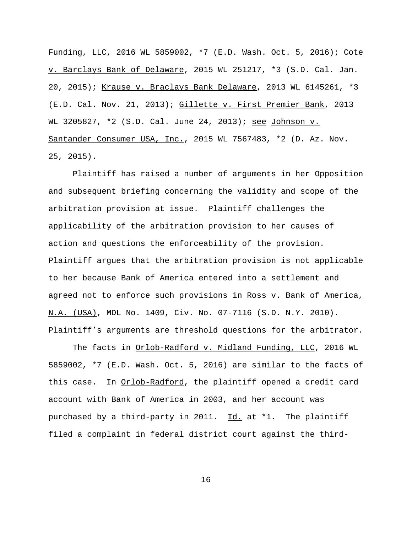Funding, LLC, 2016 WL 5859002, \*7 (E.D. Wash. Oct. 5, 2016); Cote v. Barclays Bank of Delaware, 2015 WL 251217, \*3 (S.D. Cal. Jan. 20, 2015); Krause v. Braclays Bank Delaware, 2013 WL 6145261, \*3 (E.D. Cal. Nov. 21, 2013); Gillette v. First Premier Bank, 2013 WL 3205827, \*2 (S.D. Cal. June 24, 2013); see Johnson v. Santander Consumer USA, Inc., 2015 WL 7567483, \*2 (D. Az. Nov. 25, 2015).

Plaintiff has raised a number of arguments in her Opposition and subsequent briefing concerning the validity and scope of the arbitration provision at issue. Plaintiff challenges the applicability of the arbitration provision to her causes of action and questions the enforceability of the provision. Plaintiff argues that the arbitration provision is not applicable to her because Bank of America entered into a settlement and agreed not to enforce such provisions in Ross v. Bank of America, N.A. (USA), MDL No. 1409, Civ. No. 07-7116 (S.D. N.Y. 2010). Plaintiff's arguments are threshold questions for the arbitrator.

The facts in Orlob-Radford v. Midland Funding, LLC, 2016 WL 5859002, \*7 (E.D. Wash. Oct. 5, 2016) are similar to the facts of this case. In Orlob-Radford, the plaintiff opened a credit card account with Bank of America in 2003, and her account was purchased by a third-party in 2011. Id. at \*1. The plaintiff filed a complaint in federal district court against the third-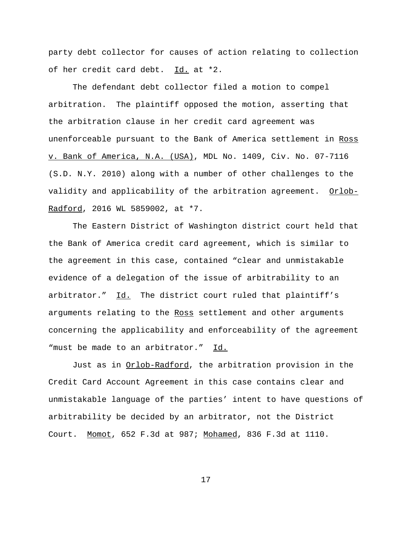party debt collector for causes of action relating to collection of her credit card debt. Id. at \*2.

The defendant debt collector filed a motion to compel arbitration. The plaintiff opposed the motion, asserting that the arbitration clause in her credit card agreement was unenforceable pursuant to the Bank of America settlement in Ross v. Bank of America, N.A. (USA), MDL No. 1409, Civ. No. 07-7116 (S.D. N.Y. 2010) along with a number of other challenges to the validity and applicability of the arbitration agreement. Orlob-Radford, 2016 WL 5859002, at \*7.

The Eastern District of Washington district court held that the Bank of America credit card agreement, which is similar to the agreement in this case, contained "clear and unmistakable evidence of a delegation of the issue of arbitrability to an arbitrator." Id. The district court ruled that plaintiff's arguments relating to the Ross settlement and other arguments concerning the applicability and enforceability of the agreement "must be made to an arbitrator." Id.

Just as in Orlob-Radford, the arbitration provision in the Credit Card Account Agreement in this case contains clear and unmistakable language of the parties' intent to have questions of arbitrability be decided by an arbitrator, not the District Court. Momot, 652 F.3d at 987; Mohamed, 836 F.3d at 1110.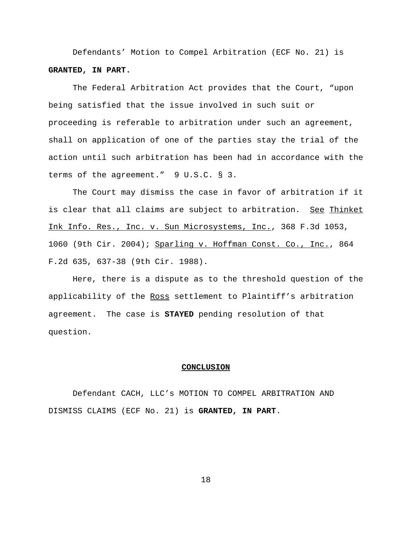Defendants' Motion to Compel Arbitration (ECF No. 21) is **GRANTED, IN PART.**

The Federal Arbitration Act provides that the Court, "upon being satisfied that the issue involved in such suit or proceeding is referable to arbitration under such an agreement, shall on application of one of the parties stay the trial of the action until such arbitration has been had in accordance with the terms of the agreement." 9 U.S.C. § 3.

The Court may dismiss the case in favor of arbitration if it is clear that all claims are subject to arbitration. See Thinket Ink Info. Res., Inc. v. Sun Microsystems, Inc., 368 F.3d 1053, 1060 (9th Cir. 2004); Sparling v. Hoffman Const. Co., Inc., 864 F.2d 635, 637-38 (9th Cir. 1988).

Here, there is a dispute as to the threshold question of the applicability of the Ross settlement to Plaintiff's arbitration agreement. The case is **STAYED** pending resolution of that question.

## **CONCLUSION**

Defendant CACH, LLC's MOTION TO COMPEL ARBITRATION AND DISMISS CLAIMS (ECF No. 21) is **GRANTED, IN PART**.